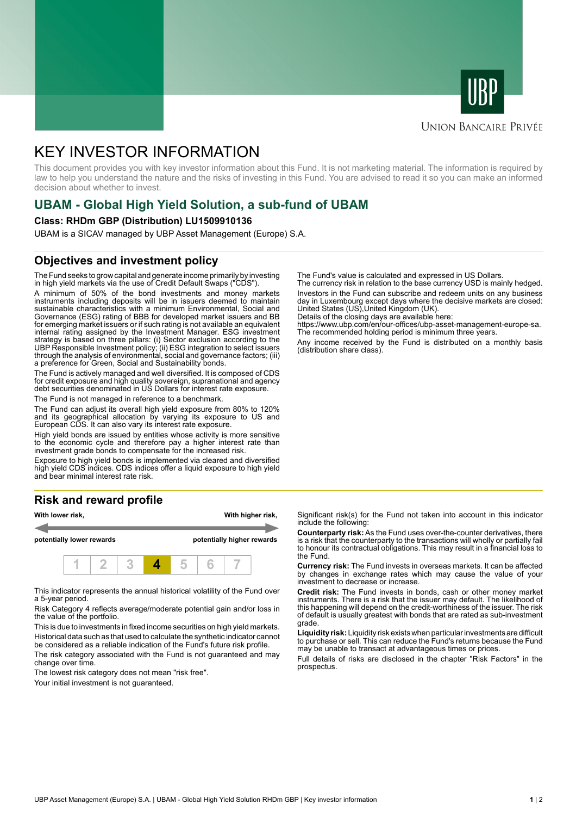



## **UNION BANCAIRE PRIVÉE**

# KEY INVESTOR INFORMATION

This document provides you with key investor information about this Fund. It is not marketing material. The information is required by law to help you understand the nature and the risks of investing in this Fund. You are advised to read it so you can make an informed decision about whether to invest.

# **UBAM - Global High Yield Solution, a sub-fund of UBAM**

#### **Class: RHDm GBP (Distribution) LU1509910136**

UBAM is a SICAV managed by UBP Asset Management (Europe) S.A.

# **Objectives and investment policy**

The Fund seeks to grow capital and generate income primarily by investing in high yield markets via the use of Credit Default Swaps ("CDS").

A minimum of 50% of the bond investments and money markets instruments including deposits will be in issuers deemed to maintain sustainable characteristics with a minimum Environmental, Social and Governance (ESG) rating of BBB for developed market issuers and BB for emerging market issuers or if such rating is not available an equivalent internal rating assigned by the Investment Manager. ESG investment strategy is based on three pillars: (i) Sector exclusion according to the UBP Responsible Investment policy; (ii) ESG integration to select issuers through the analysis of environmental, social and governance factors; (iii) a preference for Green, Social and Sustainability bonds.

The Fund is actively managed and well diversified. It is composed of CDS for credit exposure and high quality sovereign, supranational and agency debt securities denominated in US Dollars for interest rate exposure.

The Fund is not managed in reference to a benchmark.

The Fund can adjust its overall high yield exposure from 80% to 120% and its geographical allocation by varying its exposure to US and European CDS. It can also vary its interest rate exposure.

High yield bonds are issued by entities whose activity is more sensitive to the economic cycle and therefore pay a higher interest rate than investment grade bonds to compensate for the increased risk.

Exposure to high yield bonds is implemented via cleared and diversified high yield CDS indices. CDS indices offer a liquid exposure to high yield and bear minimal interest rate risk.

# **Risk and reward profile**



This indicator represents the annual historical volatility of the Fund over a 5-year period.

Risk Category 4 reflects average/moderate potential gain and/or loss in the value of the portfolio.

This is due to investments in fixed income securities on high yield markets. Historical data such as that used to calculate the synthetic indicator cannot be considered as a reliable indication of the Fund's future risk profile. The risk category associated with the Fund is not guaranteed and may

change over time.

The lowest risk category does not mean "risk free".

Your initial investment is not guaranteed.

The Fund's value is calculated and expressed in US Dollars.

The currency risk in relation to the base currency USD is mainly hedged. Investors in the Fund can subscribe and redeem units on any business day in Luxembourg except days where the decisive markets are closed: United States (US),United Kingdom (UK).

Details of the closing days are available here:

https://www.ubp.com/en/our-offices/ubp-asset-management-europe-sa. The recommended holding period is minimum three years.

Any income received by the Fund is distributed on a monthly basis (distribution share class).

Significant risk(s) for the Fund not taken into account in this indicator include the following:

**Counterparty risk:** As the Fund uses over-the-counter derivatives, there is a risk that the counterparty to the transactions will wholly or partially fail to honour its contractual obligations. This may result in a financial loss to the Fund.

**Currency risk:** The Fund invests in overseas markets. It can be affected by changes in exchange rates which may cause the value of your investment to decrease or increase.

**Credit risk:** The Fund invests in bonds, cash or other money market instruments. There is a risk that the issuer may default. The likelihood of this happening will depend on the credit-worthiness of the issuer. The risk of default is usually greatest with bonds that are rated as sub-investment grade.

**Liquidity risk:** Liquidity risk exists when particular investments are difficult to purchase or sell. This can reduce the Fund's returns because the Fund may be unable to transact at advantageous times or prices.

Full details of risks are disclosed in the chapter "Risk Factors" in the prospectus.